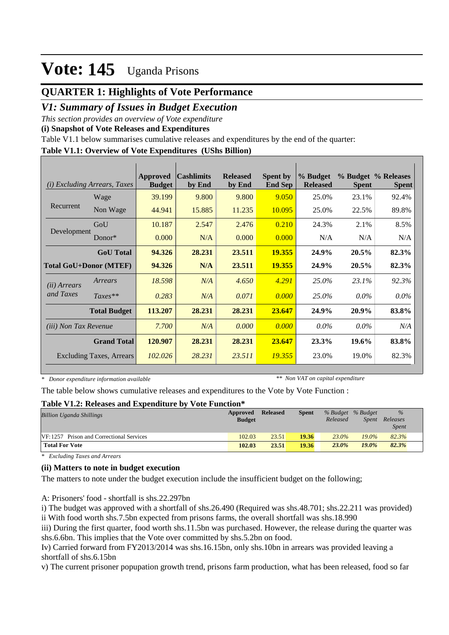### **QUARTER 1: Highlights of Vote Performance**

### *V1: Summary of Issues in Budget Execution*

*This section provides an overview of Vote expenditure* 

**(i) Snapshot of Vote Releases and Expenditures**

Table V1.1 below summarises cumulative releases and expenditures by the end of the quarter:

### **Table V1.1: Overview of Vote Expenditures (UShs Billion)**

| (i)                          | <i>Excluding Arrears, Taxes</i> | Approved<br><b>Budget</b> | <b>Cashlimits</b><br>by End | <b>Released</b><br>by End | <b>Spent by</b><br><b>End Sep</b> | % Budget<br><b>Released</b> | <b>Spent</b> | % Budget % Releases<br><b>Spent</b> |
|------------------------------|---------------------------------|---------------------------|-----------------------------|---------------------------|-----------------------------------|-----------------------------|--------------|-------------------------------------|
|                              | Wage                            | 39.199                    | 9.800                       | 9.800                     | 9.050                             | 25.0%                       | 23.1%        | 92.4%                               |
| Recurrent                    | Non Wage                        | 44.941                    | 15.885                      | 11.235                    | 10.095                            | 25.0%                       | 22.5%        | 89.8%                               |
|                              | GoU                             | 10.187                    | 2.547                       | 2.476                     | 0.210                             | 24.3%                       | 2.1%         | 8.5%                                |
| Development                  | $Donor*$                        | 0.000                     | N/A                         | 0.000                     | 0.000                             | N/A                         | N/A          | N/A                                 |
|                              | <b>GoU</b> Total                | 94.326                    | 28.231                      | 23.511                    | 19.355                            | 24.9%                       | 20.5%        | 82.3%                               |
|                              | <b>Total GoU+Donor (MTEF)</b>   | 94.326                    | N/A                         | 23.511                    | 19.355                            | 24.9%                       | 20.5%        | 82.3%                               |
| ( <i>ii</i> ) Arrears        | Arrears                         | 18.598                    | N/A                         | 4.650                     | 4.291                             | 25.0%                       | $23.1\%$     | 92.3%                               |
| and Taxes                    | $Taxes**$                       | 0.283                     | N/A                         | 0.071                     | 0.000                             | 25.0%                       | $0.0\%$      | $0.0\%$                             |
|                              | <b>Total Budget</b>             | 113.207                   | 28.231                      | 28.231                    | 23.647                            | 24.9%                       | 20.9%        | 83.8%                               |
| <i>(iii)</i> Non Tax Revenue |                                 | 7.700                     | N/A                         | 0.000                     | 0.000                             | $0.0\%$                     | $0.0\%$      | N/A                                 |
|                              | <b>Grand Total</b>              | 120.907                   | 28.231                      | 28.231                    | 23.647                            | 23.3%                       | 19.6%        | 83.8%                               |
|                              | <b>Excluding Taxes, Arrears</b> | 102.026                   | 28.231                      | 23.511                    | 19.355                            | 23.0%                       | 19.0%        | 82.3%                               |

*\* Donor expenditure information available*

*\*\* Non VAT on capital expenditure*

The table below shows cumulative releases and expenditures to the Vote by Vote Function :

#### **Table V1.2: Releases and Expenditure by Vote Function\***

| <b>Billion Uganda Shillings</b>                 | Approved<br><b>Budget</b> | <b>Released</b> | <b>Spent</b> | % Budget % Budget<br>Released | <i>Spent</i> | $\%$<br>Releases<br><b>Spent</b> |
|-------------------------------------------------|---------------------------|-----------------|--------------|-------------------------------|--------------|----------------------------------|
| <b>VF:1257</b> Prison and Correctional Services | 102.03                    | 23.51           | 19.36        | 23.0%                         | $19.0\%$     | 82.3%                            |
| <b>Total For Vote</b>                           | 102.03                    | 23.51           | 19.36        | $23.0\%$                      | $19.0\%$     | 82.3%                            |

*\* Excluding Taxes and Arrears*

### **(ii) Matters to note in budget execution**

The matters to note under the budget execution include the insufficient budget on the following;

A: Prisoners' food - shortfall is shs.22.297bn

i) The budget was approved with a shortfall of shs.26.490 (Required was shs.48.701; shs.22.211 was provided) ii With food worth shs.7.5bn expected from prisons farms, the overall shortfall was shs.18.990

iii) During the first quarter, food worth shs.11.5bn was purchased. However, the release during the quarter was shs.6.6bn. This implies that the Vote over committed by shs.5.2bn on food.

Iv) Carried forward from FY2013/2014 was shs.16.15bn, only shs.10bn in arrears was provided leaving a shortfall of shs.6.15bn

v) The current prisoner popupation growth trend, prisons farm production, what has been released, food so far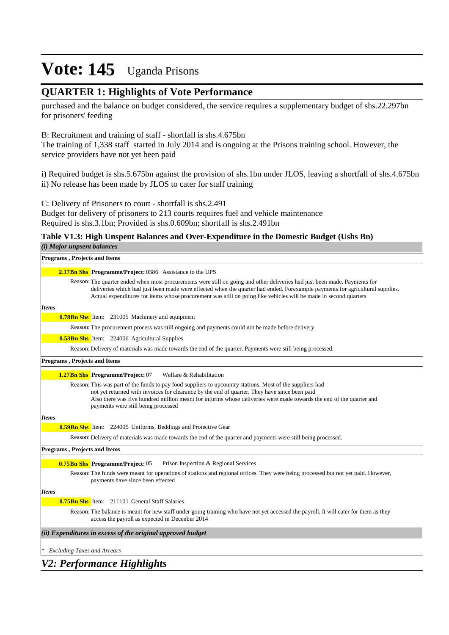### **QUARTER 1: Highlights of Vote Performance**

purchased and the balance on budget considered, the service requires a supplementary budget of shs.22.297bn for prisoners' feeding

### B: Recruitment and training of staff - shortfall is shs.4.675bn

The training of 1,338 staff started in July 2014 and is ongoing at the Prisons training school. However, the service providers have not yet been paid

i) Required budget is shs.5.675bn against the provision of shs.1bn under JLOS, leaving a shortfall of shs.4.675bn ii) No release has been made by JLOS to cater for staff training

C: Delivery of Prisoners to court - shortfall is shs.2.491

Budget for delivery of prisoners to 213 courts requires fuel and vehicle maintenance Required is shs.3.1bn; Provided is shs.0.609bn; shortfall is shs.2.491bn

### **Table V1.3: High Unspent Balances and Over-Expenditure in the Domestic Budget (Ushs Bn)**

| (i) Major unpsent balances                                                                                                                                                                                                                                                                                                                                                     |
|--------------------------------------------------------------------------------------------------------------------------------------------------------------------------------------------------------------------------------------------------------------------------------------------------------------------------------------------------------------------------------|
| <b>Programs, Projects and Items</b>                                                                                                                                                                                                                                                                                                                                            |
| <b>2.17Bn Shs Programme/Project: 0386</b> Assistance to the UPS                                                                                                                                                                                                                                                                                                                |
| Reason: The quarter ended when most procurements were still on going and other deliveries had just been made. Payments for<br>deliveries which had just been made were effected when the quarter had ended. Forexample payments for agricultural supplies.<br>Actual expenditures for items whose procurement was still on going like vehicles will be made in second quarters |
| <b>Items</b>                                                                                                                                                                                                                                                                                                                                                                   |
| <b>0.78Bn Shs</b> Item: 231005 Machinery and equipment                                                                                                                                                                                                                                                                                                                         |
| Reason: The procurement process was still ongoing and payments could not be made before delivery                                                                                                                                                                                                                                                                               |
| <b>0.53Bn Shs</b> Item: 224006 Agricultural Supplies                                                                                                                                                                                                                                                                                                                           |
| Reason: Delivery of materials was made towards the end of the quarter. Payments were still being processed.                                                                                                                                                                                                                                                                    |
| <b>Programs, Projects and Items</b>                                                                                                                                                                                                                                                                                                                                            |
| 1.27Bn Shs Programme/Project: 07<br>Welfare & Rehabilitation                                                                                                                                                                                                                                                                                                                   |
| Reason: This was part of the funds to pay food suppliers to upcountry stations. Most of the suppliers had<br>not yet returned with invoices for clearance by the end of quarter. They have since been paid<br>Also there was five hundred million meant for informs whose deliveries were made towards the end of the quarter and<br>payments were still being processed       |
| <b>Items</b>                                                                                                                                                                                                                                                                                                                                                                   |
| <b>0.59Bn Shs</b> Item: 224005 Uniforms, Beddings and Protective Gear                                                                                                                                                                                                                                                                                                          |
| Reason: Delivery of materials was made towards the end of the quarter and payments were still being processed.                                                                                                                                                                                                                                                                 |
| <b>Programs, Projects and Items</b>                                                                                                                                                                                                                                                                                                                                            |
| <b>0.75Bn Shs</b> Programme/Project: 05<br>Prison Inspection & Regional Services                                                                                                                                                                                                                                                                                               |
| Reason: The funds were meant for operations of stations and regional offices. They were being processed but not yet paid. However,<br>payments have since been effected                                                                                                                                                                                                        |
| <b>Items</b>                                                                                                                                                                                                                                                                                                                                                                   |
| <b>0.75Bn Shs</b> Item: 211101 General Staff Salaries                                                                                                                                                                                                                                                                                                                          |
| Reason: The balance is meant for new staff under going training who have not yet accessed the payroll. It will cater for them as they<br>access the payroll as expected in December 2014                                                                                                                                                                                       |
| (ii) Expenditures in excess of the original approved budget                                                                                                                                                                                                                                                                                                                    |
| <b>Excluding Taxes and Arrears</b>                                                                                                                                                                                                                                                                                                                                             |
| <b>V2: Performance Highlights</b>                                                                                                                                                                                                                                                                                                                                              |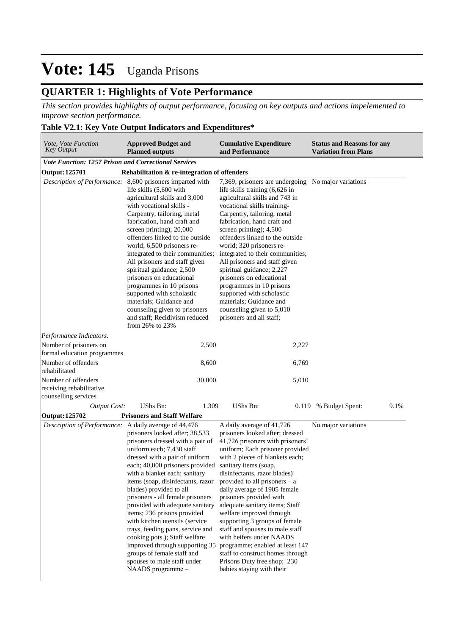### **QUARTER 1: Highlights of Vote Performance**

*This section provides highlights of output performance, focusing on key outputs and actions impelemented to improve section performance.*

### **Table V2.1: Key Vote Output Indicators and Expenditures\***

| Vote, Vote Function<br><b>Approved Budget and</b><br><b>Key Output</b><br><b>Planned outputs</b> |                                                                                                                                                                                                                                                                                                                                                                                                                                                                                                                                                                                                                           | <b>Cumulative Expenditure</b><br>and Performance                                                                                                                                                                                                                                                                                                                                                                                                                                                                                                                                                                               | <b>Status and Reasons for any</b><br><b>Variation from Plans</b> |  |  |
|--------------------------------------------------------------------------------------------------|---------------------------------------------------------------------------------------------------------------------------------------------------------------------------------------------------------------------------------------------------------------------------------------------------------------------------------------------------------------------------------------------------------------------------------------------------------------------------------------------------------------------------------------------------------------------------------------------------------------------------|--------------------------------------------------------------------------------------------------------------------------------------------------------------------------------------------------------------------------------------------------------------------------------------------------------------------------------------------------------------------------------------------------------------------------------------------------------------------------------------------------------------------------------------------------------------------------------------------------------------------------------|------------------------------------------------------------------|--|--|
| <b>Vote Function: 1257 Prison and Correctional Services</b>                                      |                                                                                                                                                                                                                                                                                                                                                                                                                                                                                                                                                                                                                           |                                                                                                                                                                                                                                                                                                                                                                                                                                                                                                                                                                                                                                |                                                                  |  |  |
| Output: 125701                                                                                   | Rehabilitation & re-integration of offenders                                                                                                                                                                                                                                                                                                                                                                                                                                                                                                                                                                              |                                                                                                                                                                                                                                                                                                                                                                                                                                                                                                                                                                                                                                |                                                                  |  |  |
|                                                                                                  | Description of Performance: 8,600 prisoners imparted with<br>life skills (5,600 with<br>agricultural skills and 3,000<br>with vocational skills -<br>Carpentry, tailoring, metal<br>fabrication, hand craft and<br>screen printing); 20,000<br>offenders linked to the outside<br>world; 6,500 prisoners re-<br>integrated to their communities;<br>All prisoners and staff given<br>spiritual guidance; 2,500<br>prisoners on educational<br>programmes in 10 prisons<br>supported with scholastic<br>materials; Guidance and<br>counseling given to prisoners<br>and staff; Recidivism reduced<br>from $26\%$ to $23\%$ | 7,369, prisoners are undergoing No major variations<br>life skills training (6,626 in<br>agricultural skills and 743 in<br>vocational skills training-<br>Carpentry, tailoring, metal<br>fabrication, hand craft and<br>screen printing); 4,500<br>offenders linked to the outside<br>world; 320 prisoners re-<br>integrated to their communities;<br>All prisoners and staff given<br>spiritual guidance; 2,227<br>prisoners on educational<br>programmes in 10 prisons<br>supported with scholastic<br>materials; Guidance and<br>counseling given to 5,010<br>prisoners and all staff;                                      |                                                                  |  |  |
| Performance Indicators:                                                                          |                                                                                                                                                                                                                                                                                                                                                                                                                                                                                                                                                                                                                           |                                                                                                                                                                                                                                                                                                                                                                                                                                                                                                                                                                                                                                |                                                                  |  |  |
| Number of prisoners on<br>formal education programmes                                            | 2,500                                                                                                                                                                                                                                                                                                                                                                                                                                                                                                                                                                                                                     | 2,227                                                                                                                                                                                                                                                                                                                                                                                                                                                                                                                                                                                                                          |                                                                  |  |  |
| Number of offenders<br>rehabilitated                                                             | 8,600                                                                                                                                                                                                                                                                                                                                                                                                                                                                                                                                                                                                                     | 6,769                                                                                                                                                                                                                                                                                                                                                                                                                                                                                                                                                                                                                          |                                                                  |  |  |
| Number of offenders<br>receiving rehabilitative<br>counselling services                          | 30,000                                                                                                                                                                                                                                                                                                                                                                                                                                                                                                                                                                                                                    | 5,010                                                                                                                                                                                                                                                                                                                                                                                                                                                                                                                                                                                                                          |                                                                  |  |  |
| <b>Output Cost:</b>                                                                              | UShs Bn:<br>1.309                                                                                                                                                                                                                                                                                                                                                                                                                                                                                                                                                                                                         | UShs Bn:<br>0.119                                                                                                                                                                                                                                                                                                                                                                                                                                                                                                                                                                                                              | % Budget Spent:<br>9.1%                                          |  |  |
| Output: 125702                                                                                   | <b>Prisoners and Staff Welfare</b>                                                                                                                                                                                                                                                                                                                                                                                                                                                                                                                                                                                        |                                                                                                                                                                                                                                                                                                                                                                                                                                                                                                                                                                                                                                |                                                                  |  |  |
| Description of Performance: A daily average of 44,476                                            | prisoners looked after; 38,533<br>prisoners dressed with a pair of<br>uniform each; 7,430 staff<br>dressed with a pair of uniform<br>each; 40,000 prisoners provided<br>with a blanket each; sanitary<br>items (soap, disinfectants, razor<br>blades) provided to all<br>prisoners - all female prisoners<br>provided with adequate sanitary<br>items; 236 prisons provided<br>with kitchen utensils (service<br>trays, feeding pans, service and<br>cooking pots.); Staff welfare<br>improved through supporting 35<br>groups of female staff and<br>spouses to male staff under<br>NAADS programme-                     | A daily average of 41,726<br>prisoners looked after; dressed<br>41,726 prisoners with prisoners'<br>uniform; Each prisoner provided<br>with 2 pieces of blankets each;<br>sanitary items (soap,<br>disinfectants, razor blades)<br>provided to all prisoners $-$ a<br>daily average of 1905 female<br>prisoners provided with<br>adequate sanitary items; Staff<br>welfare improved through<br>supporting 3 groups of female<br>staff and spouses to male staff<br>with heifers under NAADS<br>programme; enabled at least 147<br>staff to construct homes through<br>Prisons Duty free shop; 230<br>babies staying with their | No major variations                                              |  |  |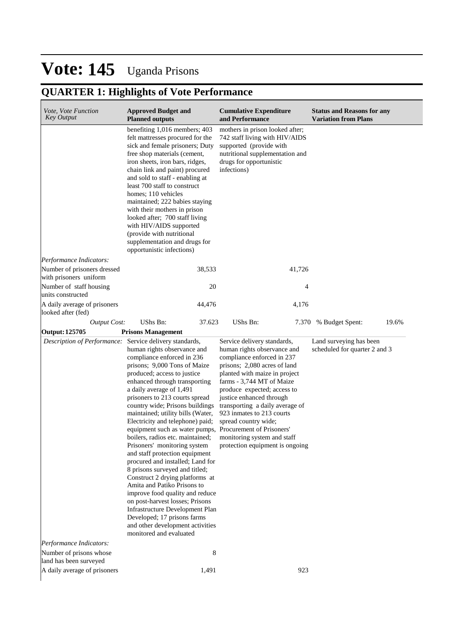## **QUARTER 1: Highlights of Vote Performance**

| <i>Vote, Vote Function</i><br>Key Output                | <b>Approved Budget and</b><br><b>Planned outputs</b>                                                                                                                                                                                                                                                                                                                                                                                                                                                                                                                                                                                                                                                                                                                                                                                                 | <b>Cumulative Expenditure</b><br>and Performance                                                                                                                                                                                                                                                                                                                                                            | <b>Status and Reasons for any</b><br><b>Variation from Plans</b> |
|---------------------------------------------------------|------------------------------------------------------------------------------------------------------------------------------------------------------------------------------------------------------------------------------------------------------------------------------------------------------------------------------------------------------------------------------------------------------------------------------------------------------------------------------------------------------------------------------------------------------------------------------------------------------------------------------------------------------------------------------------------------------------------------------------------------------------------------------------------------------------------------------------------------------|-------------------------------------------------------------------------------------------------------------------------------------------------------------------------------------------------------------------------------------------------------------------------------------------------------------------------------------------------------------------------------------------------------------|------------------------------------------------------------------|
|                                                         | benefiting 1,016 members; 403<br>felt mattresses procured for the<br>sick and female prisoners; Duty<br>free shop materials (cement,<br>iron sheets, iron bars, ridges,<br>chain link and paint) procured<br>and sold to staff - enabling at<br>least 700 staff to construct<br>homes; 110 vehicles<br>maintained; 222 babies staying<br>with their mothers in prison<br>looked after; 700 staff living<br>with HIV/AIDS supported<br>(provide with nutritional<br>supplementation and drugs for<br>opportunistic infections)                                                                                                                                                                                                                                                                                                                        | mothers in prison looked after;<br>742 staff living with HIV/AIDS<br>supported (provide with<br>nutritional supplementation and<br>drugs for opportunistic<br>infections)                                                                                                                                                                                                                                   |                                                                  |
| Performance Indicators:                                 |                                                                                                                                                                                                                                                                                                                                                                                                                                                                                                                                                                                                                                                                                                                                                                                                                                                      |                                                                                                                                                                                                                                                                                                                                                                                                             |                                                                  |
| Number of prisoners dressed<br>with prisoners uniform   | 38,533                                                                                                                                                                                                                                                                                                                                                                                                                                                                                                                                                                                                                                                                                                                                                                                                                                               | 41,726                                                                                                                                                                                                                                                                                                                                                                                                      |                                                                  |
| Number of staff housing<br>units constructed            | 20                                                                                                                                                                                                                                                                                                                                                                                                                                                                                                                                                                                                                                                                                                                                                                                                                                                   | 4                                                                                                                                                                                                                                                                                                                                                                                                           |                                                                  |
| A daily average of prisoners<br>looked after (fed)      | 44,476                                                                                                                                                                                                                                                                                                                                                                                                                                                                                                                                                                                                                                                                                                                                                                                                                                               | 4,176                                                                                                                                                                                                                                                                                                                                                                                                       |                                                                  |
| <b>Output Cost:</b>                                     | UShs Bn:<br>37.623                                                                                                                                                                                                                                                                                                                                                                                                                                                                                                                                                                                                                                                                                                                                                                                                                                   | UShs Bn:                                                                                                                                                                                                                                                                                                                                                                                                    | 19.6%<br>7.370 % Budget Spent:                                   |
| Output: 125705                                          | <b>Prisons Management</b>                                                                                                                                                                                                                                                                                                                                                                                                                                                                                                                                                                                                                                                                                                                                                                                                                            |                                                                                                                                                                                                                                                                                                                                                                                                             |                                                                  |
| Description of Performance: Service delivery standards, | human rights observance and<br>compliance enforced in 236<br>prisons; 9,000 Tons of Maize<br>produced; access to justice<br>enhanced through transporting<br>a daily average of 1,491<br>prisoners to 213 courts spread<br>country wide; Prisons buildings<br>maintained; utility bills (Water,<br>Electricity and telephone) paid;<br>equipment such as water pumps, Procurement of Prisoners'<br>boilers, radios etc. maintained;<br>Prisoners' monitoring system<br>and staff protection equipment<br>procured and installed; Land for<br>8 prisons surveyed and titled;<br>Construct 2 drying platforms at<br>Amita and Patiko Prisons to<br>improve food quality and reduce<br>on post-harvest losses; Prisons<br>Infrastructure Development Plan<br>Developed; 17 prisons farms<br>and other development activities<br>monitored and evaluated | Service delivery standards,<br>human rights observance and<br>compliance enforced in 237<br>prisons; 2,080 acres of land<br>planted with maize in project<br>farms - 3,744 MT of Maize<br>produce expected; access to<br>justice enhanced through<br>transporting a daily average of<br>923 inmates to 213 courts<br>spread country wide;<br>monitoring system and staff<br>protection equipment is ongoing | Land surveying has been<br>scheduled for quarter 2 and 3         |
| Performance Indicators:                                 |                                                                                                                                                                                                                                                                                                                                                                                                                                                                                                                                                                                                                                                                                                                                                                                                                                                      |                                                                                                                                                                                                                                                                                                                                                                                                             |                                                                  |
| Number of prisons whose<br>land has been surveyed       | 8                                                                                                                                                                                                                                                                                                                                                                                                                                                                                                                                                                                                                                                                                                                                                                                                                                                    |                                                                                                                                                                                                                                                                                                                                                                                                             |                                                                  |
| A daily average of prisoners                            | 1,491                                                                                                                                                                                                                                                                                                                                                                                                                                                                                                                                                                                                                                                                                                                                                                                                                                                | 923                                                                                                                                                                                                                                                                                                                                                                                                         |                                                                  |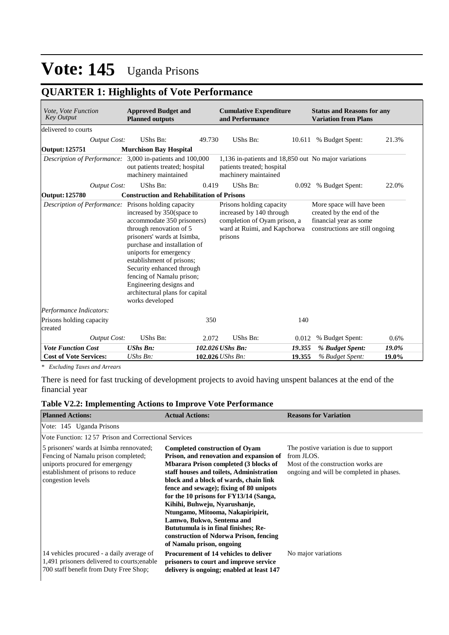## **QUARTER 1: Highlights of Vote Performance**

| Vote, Vote Function<br><b>Key Output</b>                  | <b>Approved Budget and</b><br><b>Planned outputs</b>                                                                                                                                                                                                                                                                                                                             |        | <b>Cumulative Expenditure</b><br>and Performance                                                                                |        | <b>Status and Reasons for any</b><br><b>Variation from Plans</b>                                                    |       |
|-----------------------------------------------------------|----------------------------------------------------------------------------------------------------------------------------------------------------------------------------------------------------------------------------------------------------------------------------------------------------------------------------------------------------------------------------------|--------|---------------------------------------------------------------------------------------------------------------------------------|--------|---------------------------------------------------------------------------------------------------------------------|-------|
| delivered to courts                                       |                                                                                                                                                                                                                                                                                                                                                                                  |        |                                                                                                                                 |        |                                                                                                                     |       |
| <b>Output Cost:</b>                                       | UShs Bn:                                                                                                                                                                                                                                                                                                                                                                         | 49.730 | UShs Bn:                                                                                                                        |        | 10.611 % Budget Spent:                                                                                              | 21.3% |
| <b>Output: 125751</b>                                     | <b>Murchison Bay Hospital</b>                                                                                                                                                                                                                                                                                                                                                    |        |                                                                                                                                 |        |                                                                                                                     |       |
| Description of Performance: 3,000 in-patients and 100,000 | out patients treated; hospital<br>machinery maintained                                                                                                                                                                                                                                                                                                                           |        | 1,136 in-patients and 18,850 out No major variations<br>patients treated; hospital<br>machinery maintained                      |        |                                                                                                                     |       |
| <b>Output Cost:</b>                                       | UShs Bn:                                                                                                                                                                                                                                                                                                                                                                         | 0.419  | UShs Bn:                                                                                                                        | 0.092  | % Budget Spent:                                                                                                     | 22.0% |
| Output: 125780                                            | <b>Construction and Rehabilitation of Prisons</b>                                                                                                                                                                                                                                                                                                                                |        |                                                                                                                                 |        |                                                                                                                     |       |
| Description of Performance:                               | Prisons holding capacity<br>increased by 350 (space to<br>accommodate 350 prisoners)<br>through renovation of 5<br>prisoners' wards at Isimba,<br>purchase and installation of<br>uniports for emergency<br>establishment of prisons;<br>Security enhanced through<br>fencing of Namalu prison;<br>Engineering designs and<br>architectural plans for capital<br>works developed |        | Prisons holding capacity<br>increased by 140 through<br>completion of Oyam prison, a<br>ward at Ruimi, and Kapchorwa<br>prisons |        | More space will have been<br>created by the end of the<br>financial year as some<br>constructions are still ongoing |       |
| Performance Indicators:                                   |                                                                                                                                                                                                                                                                                                                                                                                  |        |                                                                                                                                 |        |                                                                                                                     |       |
| Prisons holding capacity<br>created                       |                                                                                                                                                                                                                                                                                                                                                                                  | 350    |                                                                                                                                 | 140    |                                                                                                                     |       |
| <b>Output Cost:</b>                                       | UShs Bn:                                                                                                                                                                                                                                                                                                                                                                         | 2.072  | UShs Bn:                                                                                                                        | 0.012  | % Budget Spent:                                                                                                     | 0.6%  |
| <b>Vote Function Cost</b>                                 | <b>UShs Bn:</b>                                                                                                                                                                                                                                                                                                                                                                  |        | 102.026 UShs Bn:                                                                                                                | 19.355 | % Budget Spent:                                                                                                     | 19.0% |
| <b>Cost of Vote Services:</b>                             | $UShs Bn$ :                                                                                                                                                                                                                                                                                                                                                                      |        | 102.026 <i>UShs Bn</i> :                                                                                                        | 19.355 | % Budget Spent:                                                                                                     | 19.0% |

*\* Excluding Taxes and Arrears*

There is need for fast trucking of development projects to avoid having unspent balances at the end of the financial year

### **Table V2.2: Implementing Actions to Improve Vote Performance**

| <b>Planned Actions:</b>                                                                                                                                                       | <b>Actual Actions:</b>                                                                                                                                                                                                                                                                                                                                                                                                                                                                                                        | <b>Reasons for Variation</b>                                                                                                             |
|-------------------------------------------------------------------------------------------------------------------------------------------------------------------------------|-------------------------------------------------------------------------------------------------------------------------------------------------------------------------------------------------------------------------------------------------------------------------------------------------------------------------------------------------------------------------------------------------------------------------------------------------------------------------------------------------------------------------------|------------------------------------------------------------------------------------------------------------------------------------------|
| Vote: 145 Uganda Prisons                                                                                                                                                      |                                                                                                                                                                                                                                                                                                                                                                                                                                                                                                                               |                                                                                                                                          |
| Vote Function: 12.57 Prison and Correctional Services                                                                                                                         |                                                                                                                                                                                                                                                                                                                                                                                                                                                                                                                               |                                                                                                                                          |
| 5 prisoners' wards at Isimba rennovated;<br>Fencing of Namalu prison completed;<br>uniports procured for emergengy<br>establishment of prisons to reduce<br>congestion levels | <b>Completed construction of Ovam</b><br>Prison, and renovation and expansion of<br><b>Mbarara Prison completed (3 blocks of</b><br>staff houses and toilets, Administration<br>block and a block of wards, chain link<br>fence and sewage); fixing of 80 unipots<br>for the 10 prisons for FY13/14 (Sanga,<br>Kihihi, Buhweju, Nyarushanje,<br>Ntungamo, Mitooma, Nakapiripirit,<br>Lamwo, Bukwo, Sentema and<br>Bututumula is in final finishes; Re-<br>construction of Ndorwa Prison, fencing<br>of Namalu prison, ongoing | The postive variation is due to support<br>from JLOS.<br>Most of the construction works are.<br>ongoing and will be completed in phases. |
| 14 vehicles procured - a daily average of<br>1,491 prisoners delivered to courts; enable<br>700 staff benefit from Duty Free Shop;                                            | Procurement of 14 vehicles to deliver<br>prisoners to court and improve service<br>delivery is ongoing; enabled at least 147                                                                                                                                                                                                                                                                                                                                                                                                  | No major variations                                                                                                                      |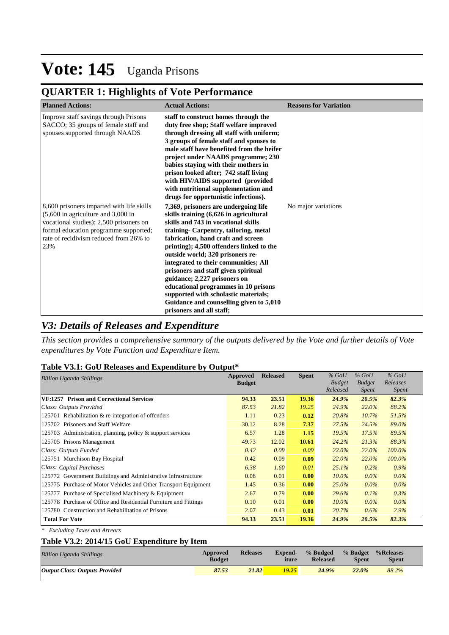## **QUARTER 1: Highlights of Vote Performance**

| <b>Planned Actions:</b>                                                                                                                                                                                                 | <b>Actual Actions:</b>                                                                                                                                                                                                                                                                                                                                                                                                                                                                                                                                     | <b>Reasons for Variation</b> |
|-------------------------------------------------------------------------------------------------------------------------------------------------------------------------------------------------------------------------|------------------------------------------------------------------------------------------------------------------------------------------------------------------------------------------------------------------------------------------------------------------------------------------------------------------------------------------------------------------------------------------------------------------------------------------------------------------------------------------------------------------------------------------------------------|------------------------------|
| Improve staff savings through Prisons<br>SACCO; 35 groups of female staff and<br>spouses supported through NAADS                                                                                                        | staff to construct homes through the<br>duty free shop; Staff welfare improved<br>through dressing all staff with uniform;<br>3 groups of female staff and spouses to<br>male staff have benefited from the heifer<br>project under NAADS programme; 230<br>babies staying with their mothers in<br>prison looked after; 742 staff living<br>with HIV/AIDS supported (provided<br>with nutritional supplementation and<br>drugs for opportunistic infections).                                                                                             |                              |
| 8,600 prisoners imparted with life skills<br>$(5,600)$ in agriculture and 3,000 in<br>vocational studies); 2,500 prisoners on<br>formal education programme supported;<br>rate of recidivism reduced from 26% to<br>23% | 7,369, prisoners are undergoing life<br>skills training (6,626 in agricultural<br>skills and 743 in vocational skills<br>training- Carpentry, tailoring, metal<br>fabrication, hand craft and screen<br>printing); 4,500 offenders linked to the<br>outside world; 320 prisoners re-<br>integrated to their communities; All<br>prisoners and staff given spiritual<br>guidance; 2,227 prisoners on<br>educational programmes in 10 prisons<br>supported with scholastic materials;<br>Guidance and counselling given to 5,010<br>prisoners and all staff; | No major variations          |

### *V3: Details of Releases and Expenditure*

*This section provides a comprehensive summary of the outputs delivered by the Vote and further details of Vote expenditures by Vote Function and Expenditure Item.*

### **Table V3.1: GoU Releases and Expenditure by Output\***

| <b>Billion Uganda Shillings</b>                                  | Approved      | <b>Released</b> | <b>Spent</b> | $%$ GoU       | $%$ GoU       | $%$ GoU      |
|------------------------------------------------------------------|---------------|-----------------|--------------|---------------|---------------|--------------|
|                                                                  | <b>Budget</b> |                 |              | <b>Budget</b> | <b>Budget</b> | Releases     |
|                                                                  |               |                 |              | Released      | <i>Spent</i>  | <i>Spent</i> |
| VF:1257 Prison and Correctional Services                         | 94.33         | 23.51           | 19.36        | 24.9%         | 20.5%         | 82.3%        |
| Class: Outputs Provided                                          | 87.53         | 21.82           | 19.25        | 24.9%         | 22.0%         | 88.2%        |
| 125701 Rehabilitation & re-integration of offenders              | 1.11          | 0.23            | 0.12         | 20.8%         | 10.7%         | 51.5%        |
| 125702 Prisoners and Staff Welfare                               | 30.12         | 8.28            | 7.37         | 27.5%         | 24.5%         | 89.0%        |
| 125703 Administration, planning, policy & support services       | 6.57          | 1.28            | 1.15         | 19.5%         | 17.5%         | 89.5%        |
| 125705 Prisons Management                                        | 49.73         | 12.02           | 10.61        | 24.2%         | 21.3%         | 88.3%        |
| Class: Outputs Funded                                            | 0.42          | 0.09            | 0.09         | 22.0%         | 22.0%         | $100.0\%$    |
| 125751 Murchison Bay Hospital                                    | 0.42          | 0.09            | 0.09         | 22.0%         | 22.0%         | 100.0%       |
| Class: Capital Purchases                                         | 6.38          | 1.60            | 0.01         | 25.1%         | 0.2%          | 0.9%         |
| 125772 Government Buildings and Administrative Infrastructure    | 0.08          | 0.01            | 0.00         | $10.0\%$      | $0.0\%$       | $0.0\%$      |
| 125775 Purchase of Motor Vehicles and Other Transport Equipment  | 1.45          | 0.36            | 0.00         | 25.0%         | $0.0\%$       | $0.0\%$      |
| 125777 Purchase of Specialised Machinery & Equipment             | 2.67          | 0.79            | 0.00         | 29.6%         | 0.1%          | 0.3%         |
| 125778 Purchase of Office and Residential Furniture and Fittings | 0.10          | 0.01            | 0.00         | $10.0\%$      | $0.0\%$       | $0.0\%$      |
| 125780 Construction and Rehabilitation of Prisons                | 2.07          | 0.43            | 0.01         | 20.7%         | 0.6%          | 2.9%         |
| <b>Total For Vote</b>                                            | 94.33         | 23.51           | 19.36        | 24.9%         | 20.5%         | 82.3%        |

*\* Excluding Taxes and Arrears*

### **Table V3.2: 2014/15 GoU Expenditure by Item**

| <b>Billion Uganda Shillings</b>       | Approved<br><b>Budget</b> | <b>Releases</b> | <b>Expend-</b><br>iture | % Budged<br><b>Released</b> | % Budget<br><b>Spent</b> | %Releases<br><b>Spent</b> |
|---------------------------------------|---------------------------|-----------------|-------------------------|-----------------------------|--------------------------|---------------------------|
| <b>Output Class: Outputs Provided</b> | 87.53                     | 21.82           | 19.25                   | 24.9%                       | 22.0%                    | 88.2%                     |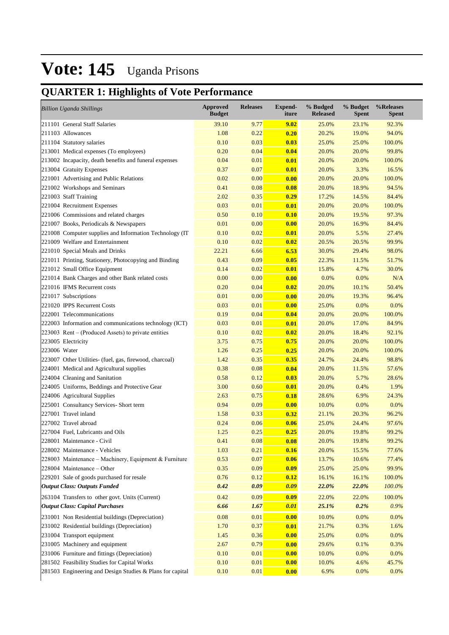## **QUARTER 1: Highlights of Vote Performance**

| <b>Billion Uganda Shillings</b>                           | <b>Approved</b><br><b>Budget</b> | <b>Releases</b> | Expend-<br>iture | % Budged<br><b>Released</b> | % Budget<br><b>Spent</b> | %Releases<br><b>Spent</b> |
|-----------------------------------------------------------|----------------------------------|-----------------|------------------|-----------------------------|--------------------------|---------------------------|
| 211101 General Staff Salaries                             | 39.10                            | 9.77            | 9.02             | 25.0%                       | 23.1%                    | 92.3%                     |
| 211103 Allowances                                         | 1.08                             | 0.22            | 0.20             | 20.2%                       | 19.0%                    | 94.0%                     |
| 211104 Statutory salaries                                 | 0.10                             | 0.03            | 0.03             | 25.0%                       | 25.0%                    | 100.0%                    |
| 213001 Medical expenses (To employees)                    | 0.20                             | 0.04            | 0.04             | 20.0%                       | 20.0%                    | 99.8%                     |
| 213002 Incapacity, death benefits and funeral expenses    | 0.04                             | 0.01            | 0.01             | 20.0%                       | 20.0%                    | 100.0%                    |
| 213004 Gratuity Expenses                                  | 0.37                             | 0.07            | 0.01             | 20.0%                       | 3.3%                     | 16.5%                     |
| 221001 Advertising and Public Relations                   | 0.02                             | 0.00            | 0.00             | 20.0%                       | 20.0%                    | 100.0%                    |
| 221002 Workshops and Seminars                             | 0.41                             | 0.08            | 0.08             | 20.0%                       | 18.9%                    | 94.5%                     |
| 221003 Staff Training                                     | 2.02                             | 0.35            | 0.29             | 17.2%                       | 14.5%                    | 84.4%                     |
| 221004 Recruitment Expenses                               | 0.03                             | 0.01            | 0.01             | 20.0%                       | 20.0%                    | 100.0%                    |
| 221006 Commissions and related charges                    | 0.50                             | 0.10            | 0.10             | 20.0%                       | 19.5%                    | 97.3%                     |
| 221007 Books, Periodicals & Newspapers                    | 0.01                             | 0.00            | 0.00             | 20.0%                       | 16.9%                    | 84.4%                     |
| 221008 Computer supplies and Information Technology (IT)  | 0.10                             | 0.02            | 0.01             | 20.0%                       | 5.5%                     | 27.4%                     |
| 221009 Welfare and Entertainment                          | 0.10                             | 0.02            | 0.02             | 20.5%                       | 20.5%                    | 99.9%                     |
| 221010 Special Meals and Drinks                           | 22.21                            | 6.66            | 6.53             | 30.0%                       | 29.4%                    | 98.0%                     |
| 221011 Printing, Stationery, Photocopying and Binding     | 0.43                             | 0.09            | 0.05             | 22.3%                       | 11.5%                    | 51.7%                     |
| 221012 Small Office Equipment                             | 0.14                             | 0.02            | 0.01             | 15.8%                       | 4.7%                     | 30.0%                     |
| 221014 Bank Charges and other Bank related costs          | 0.00                             | 0.00            | 0.00             | 0.0%                        | 0.0%                     | N/A                       |
| 221016 IFMS Recurrent costs                               | 0.20                             | 0.04            | 0.02             | 20.0%                       | 10.1%                    | 50.4%                     |
| 221017 Subscriptions                                      | 0.01                             | 0.00            | 0.00             | 20.0%                       | 19.3%                    | 96.4%                     |
| 221020 IPPS Recurrent Costs                               | 0.03                             | 0.01            | 0.00             | 25.0%                       | 0.0%                     | 0.0%                      |
| 222001 Telecommunications                                 | 0.19                             | 0.04            | 0.04             | 20.0%                       | 20.0%                    | 100.0%                    |
| 222003 Information and communications technology (ICT)    | 0.03                             | 0.01            | 0.01             | 20.0%                       | 17.0%                    | 84.9%                     |
| $223003$ Rent – (Produced Assets) to private entities     | 0.10                             | 0.02            | 0.02             | 20.0%                       | 18.4%                    | 92.1%                     |
| 223005 Electricity                                        | 3.75                             | 0.75            | 0.75             | 20.0%                       | 20.0%                    | 100.0%                    |
| 223006 Water                                              | 1.26                             | 0.25            | 0.25             | 20.0%                       | 20.0%                    | 100.0%                    |
| 223007 Other Utilities- (fuel, gas, firewood, charcoal)   | 1.42                             | 0.35            | 0.35             | 24.7%                       | 24.4%                    | 98.8%                     |
| 224001 Medical and Agricultural supplies                  | 0.38                             | 0.08            | 0.04             | 20.0%                       | 11.5%                    | 57.6%                     |
| 224004 Cleaning and Sanitation                            | 0.58                             | 0.12            | 0.03             | 20.0%                       | 5.7%                     | 28.6%                     |
| 224005 Uniforms, Beddings and Protective Gear             | 3.00                             | 0.60            | 0.01             | 20.0%                       | 0.4%                     | 1.9%                      |
| 224006 Agricultural Supplies                              | 2.63                             | 0.75            | 0.18             | 28.6%                       | 6.9%                     | 24.3%                     |
| 225001 Consultancy Services- Short term                   | 0.94                             | 0.09            | 0.00             | 10.0%                       | 0.0%                     | 0.0%                      |
| 227001 Travel inland                                      | 1.58                             | 0.33            | 0.32             | 21.1%                       | 20.3%                    | 96.2%                     |
| 227002 Travel abroad                                      | 0.24                             | 0.06            | 0.06             | 25.0%                       | 24.4%                    | 97.6%                     |
| 227004 Fuel, Lubricants and Oils                          | 1.25                             | 0.25            | 0.25             | 20.0%                       | 19.8%                    | 99.2%                     |
| 228001 Maintenance - Civil                                | 0.41                             | 0.08            | 0.08             | 20.0%                       | 19.8%                    | 99.2%                     |
| 228002 Maintenance - Vehicles                             | 1.03                             | 0.21            | 0.16             | 20.0%                       | 15.5%                    | 77.6%                     |
| 228003 Maintenance – Machinery, Equipment & Furniture     | 0.53                             | 0.07            | 0.06             | 13.7%                       | 10.6%                    | 77.4%                     |
| $228004$ Maintenance – Other                              | 0.35                             | 0.09            | 0.09             | 25.0%                       | 25.0%                    | 99.9%                     |
| 229201 Sale of goods purchased for resale                 | 0.76                             | 0.12            | 0.12             | 16.1%                       | 16.1%                    | 100.0%                    |
| <b>Output Class: Outputs Funded</b>                       | 0.42                             | 0.09            | 0.09             | 22.0%                       | 22.0%                    | 100.0%                    |
| 263104 Transfers to other govt. Units (Current)           | 0.42                             | 0.09            | 0.09             | 22.0%                       | 22.0%                    | 100.0%                    |
| <b>Output Class: Capital Purchases</b>                    | 6.66                             | 1.67            | 0.01             | 25.1%                       | 0.2%                     | 0.9%                      |
|                                                           |                                  |                 |                  |                             |                          |                           |
| 231001 Non Residential buildings (Depreciation)           | 0.08                             | 0.01            | 0.00             | 10.0%                       | 0.0%                     | 0.0%                      |
| 231002 Residential buildings (Depreciation)               | 1.70                             | 0.37            | 0.01             | 21.7%                       | 0.3%                     | 1.6%                      |
| 231004 Transport equipment                                | 1.45                             | 0.36            | 0.00             | 25.0%                       | 0.0%                     | 0.0%                      |
| 231005 Machinery and equipment                            | 2.67                             | 0.79            | 0.00             | 29.6%                       | 0.1%                     | 0.3%                      |
| 231006 Furniture and fittings (Depreciation)              | 0.10                             | 0.01            | 0.00             | 10.0%                       | 0.0%                     | 0.0%                      |
| 281502 Feasibility Studies for Capital Works              | 0.10                             | 0.01            | 0.00             | 10.0%                       | 4.6%                     | 45.7%                     |
| 281503 Engineering and Design Studies & Plans for capital | 0.10                             | 0.01            | 0.00             | 6.9%                        | 0.0%                     | 0.0%                      |